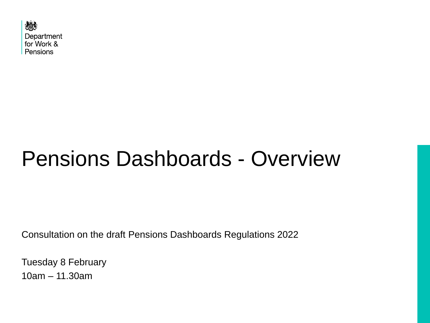

## Pensions Dashboards - Overview

Consultation on the draft Pensions Dashboards Regulations 2022

Tuesday 8 February 10am – 11.30am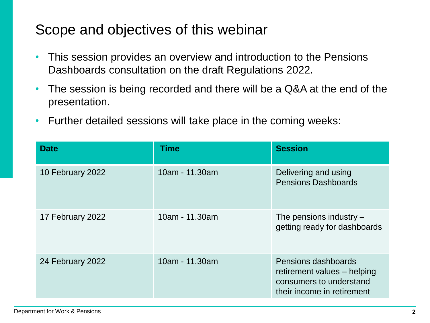### Scope and objectives of this webinar

- This session provides an overview and introduction to the Pensions Dashboards consultation on the draft Regulations 2022.
- The session is being recorded and there will be a Q&A at the end of the presentation.
- Further detailed sessions will take place in the coming weeks:

| <b>Date</b>      | <b>Time</b>    | <b>Session</b>                                                                                              |
|------------------|----------------|-------------------------------------------------------------------------------------------------------------|
| 10 February 2022 | 10am - 11.30am | Delivering and using<br><b>Pensions Dashboards</b>                                                          |
| 17 February 2022 | 10am - 11.30am | The pensions industry $-$<br>getting ready for dashboards                                                   |
| 24 February 2022 | 10am - 11.30am | Pensions dashboards<br>retirement values - helping<br>consumers to understand<br>their income in retirement |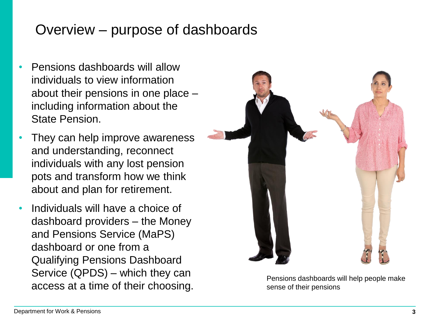## Overview – purpose of dashboards

- Pensions dashboards will allow individuals to view information about their pensions in one place – including information about the State Pension.
- They can help improve awareness and understanding, reconnect individuals with any lost pension pots and transform how we think about and plan for retirement.
- Individuals will have a choice of dashboard providers – the Money and Pensions Service (MaPS) dashboard or one from a Qualifying Pensions Dashboard Service (QPDS) – which they can access at a time of their choosing.



Pensions dashboards will help people make sense of their pensions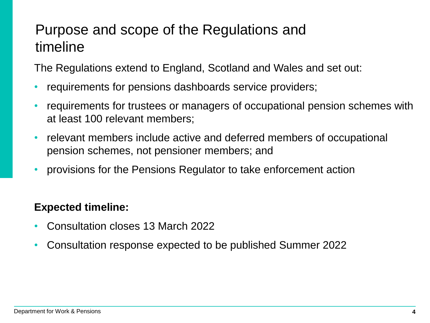## Purpose and scope of the Regulations and timeline

The Regulations extend to England, Scotland and Wales and set out:

- requirements for pensions dashboards service providers;
- requirements for trustees or managers of occupational pension schemes with at least 100 relevant members;
- relevant members include active and deferred members of occupational pension schemes, not pensioner members; and
- provisions for the Pensions Regulator to take enforcement action

#### **Expected timeline:**

- Consultation closes 13 March 2022
- Consultation response expected to be published Summer 2022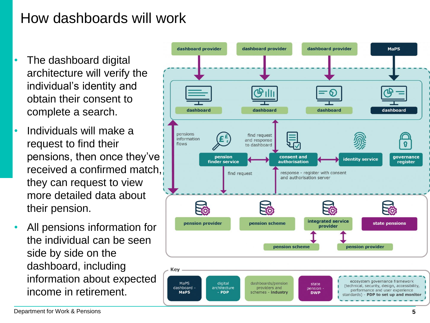## How dashboards will work

- The dashboard digital architecture will verify the individual's identity and obtain their consent to complete a search.
- Individuals will make a request to find their pensions, then once they've received a confirmed match, they can request to view more detailed data about their pension.
- All pensions information for the individual can be seen side by side on the dashboard, including information about expected income in retirement.

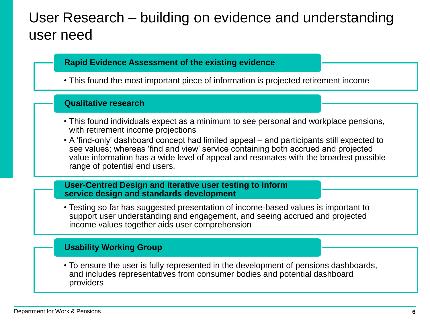## User Research – building on evidence and understanding user need

#### **Rapid Evidence Assessment of the existing evidence**

• This found the most important piece of information is projected retirement income

#### **Qualitative research**

- This found individuals expect as a minimum to see personal and workplace pensions, with retirement income projections
- A 'find-only' dashboard concept had limited appeal and participants still expected to see values; whereas 'find and view' service containing both accrued and projected value information has a wide level of appeal and resonates with the broadest possible range of potential end users.

#### **User-Centred Design and iterative user testing to inform service design and standards development**

• Testing so far has suggested presentation of income-based values is important to support user understanding and engagement, and seeing accrued and projected income values together aids user comprehension

#### **Usability Working Group**

• To ensure the user is fully represented in the development of pensions dashboards, and includes representatives from consumer bodies and potential dashboard providers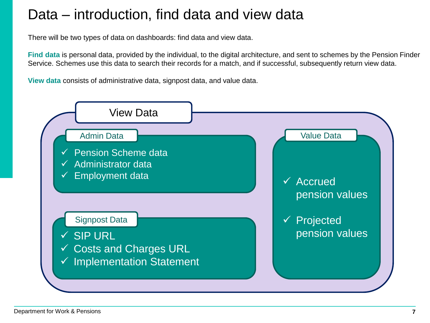## Data – introduction, find data and view data

There will be two types of data on dashboards: find data and view data.

**Find data** is personal data, provided by the individual, to the digital architecture, and sent to schemes by the Pension Finder Service. Schemes use this data to search their records for a match, and if successful, subsequently return view data.

**View data** consists of administrative data, signpost data, and value data.

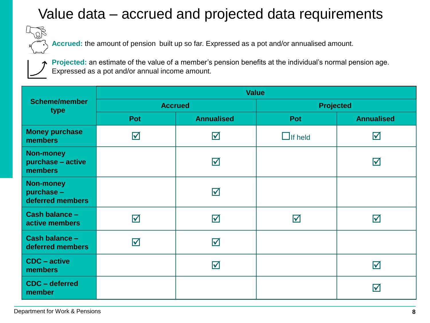## Value data – accrued and projected data requirements

**Accrued:** the amount of pension built up so far. Expressed as a pot and/or annualised amount.

**Projected:** an estimate of the value of a member's pension benefits at the individual's normal pension age. Expressed as a pot and/or annual income amount.

|                                                    | <b>Value</b>            |                         |                  |                         |  |
|----------------------------------------------------|-------------------------|-------------------------|------------------|-------------------------|--|
| <b>Scheme/member</b><br>type                       | <b>Accrued</b>          |                         | <b>Projected</b> |                         |  |
|                                                    | Pot                     | <b>Annualised</b>       | Pot              | <b>Annualised</b>       |  |
| <b>Money purchase</b><br>members                   | $\overline{\mathsf{M}}$ | $\blacktriangledown$    | $\Box$ If held   | $\triangledown$         |  |
| <b>Non-money</b><br>purchase - active<br>members   |                         | $\Delta$                |                  | $\overline{\mathsf{M}}$ |  |
| <b>Non-money</b><br>purchase -<br>deferred members |                         | $\overline{\mathbf{v}}$ |                  |                         |  |
| Cash balance -<br>active members                   | $\overline{\mathsf{M}}$ | $\blacktriangledown$    | $\bm \nabla$     | $\triangledown$         |  |
| Cash balance -<br>deferred members                 | $\blacktriangledown$    | $\blacktriangledown$    |                  |                         |  |
| <b>CDC</b> – active<br>members                     |                         | $\overline{\mathbf{M}}$ |                  | $\overline{\mathsf{M}}$ |  |
| CDC - deferred<br>member                           |                         |                         |                  | $\blacktriangledown$    |  |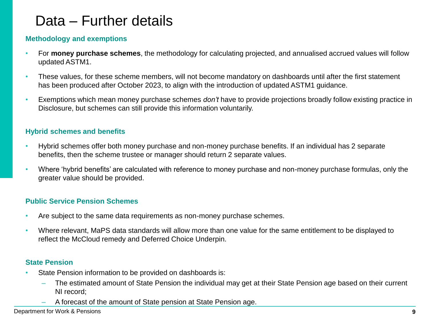## Data – Further details

#### **Methodology and exemptions**

- For **money purchase schemes**, the methodology for calculating projected, and annualised accrued values will follow updated ASTM1.
- These values, for these scheme members, will not become mandatory on dashboards until after the first statement has been produced after October 2023, to align with the introduction of updated ASTM1 guidance.
- Exemptions which mean money purchase schemes *don't* have to provide projections broadly follow existing practice in Disclosure, but schemes can still provide this information voluntarily.

#### **Hybrid schemes and benefits**

- Hybrid schemes offer both money purchase and non-money purchase benefits. If an individual has 2 separate benefits, then the scheme trustee or manager should return 2 separate values.
- Where 'hybrid benefits' are calculated with reference to money purchase and non-money purchase formulas, only the greater value should be provided.

#### **Public Service Pension Schemes**

- Are subject to the same data requirements as non-money purchase schemes.
- Where relevant, MaPS data standards will allow more than one value for the same entitlement to be displayed to reflect the McCloud remedy and Deferred Choice Underpin.

#### **State Pension**

- State Pension information to be provided on dashboards is:
	- The estimated amount of State Pension the individual may get at their State Pension age based on their current NI record;
	- A forecast of the amount of State pension at State Pension age.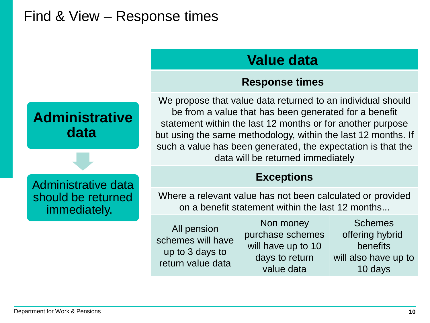## Find & View – Response times



#### **Response times**

We propose that value data returned to an individual should be from a value that has been generated for a benefit statement within the last 12 months or for another purpose but using the same methodology, within the last 12 months. If such a value has been generated, the expectation is that the data will be returned immediately

#### **Exceptions**

Where a relevant value has not been calculated or provided on a benefit statement within the last 12 months...

All pension schemes will have up to 3 days to return value data

Non money purchase schemes will have up to 10 days to return value data

Schemes offering hybrid benefits will also have up to 10 days

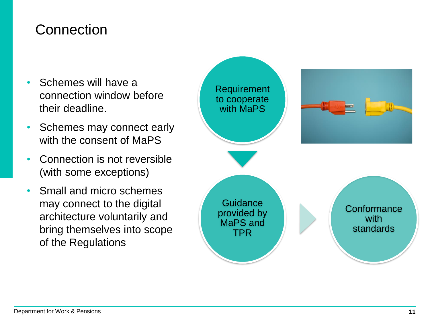#### **Connection**

- Schemes will have a connection window before their deadline.
- Schemes may connect early with the consent of MaPS
- Connection is not reversible (with some exceptions)
- Small and micro schemes may connect to the digital architecture voluntarily and bring themselves into scope of the Regulations

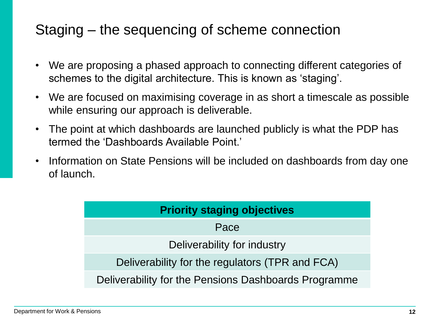## Staging – the sequencing of scheme connection

- We are proposing a phased approach to connecting different categories of schemes to the digital architecture. This is known as 'staging'.
- We are focused on maximising coverage in as short a timescale as possible while ensuring our approach is deliverable.
- The point at which dashboards are launched publicly is what the PDP has termed the 'Dashboards Available Point.'
- Information on State Pensions will be included on dashboards from day one of launch.

| <b>Priority staging objectives</b>                   |  |  |  |
|------------------------------------------------------|--|--|--|
| Pace                                                 |  |  |  |
| Deliverability for industry                          |  |  |  |
| Deliverability for the regulators (TPR and FCA)      |  |  |  |
| Deliverability for the Pensions Dashboards Programme |  |  |  |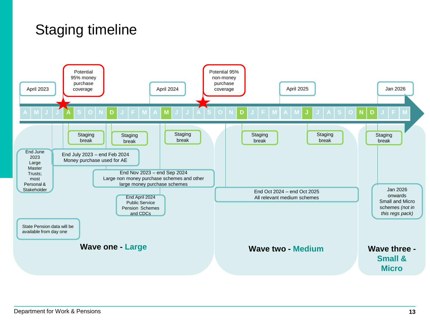## Staging timeline

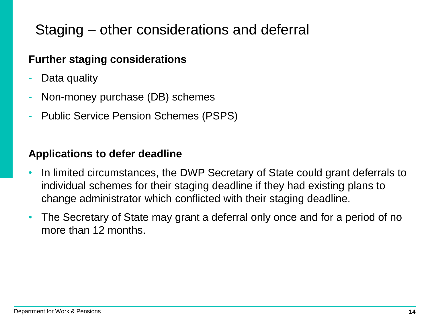## Staging – other considerations and deferral

#### **Further staging considerations**

- Data quality
- Non-money purchase (DB) schemes
- Public Service Pension Schemes (PSPS)

#### **Applications to defer deadline**

- In limited circumstances, the DWP Secretary of State could grant deferrals to individual schemes for their staging deadline if they had existing plans to change administrator which conflicted with their staging deadline.
- The Secretary of State may grant a deferral only once and for a period of no more than 12 months.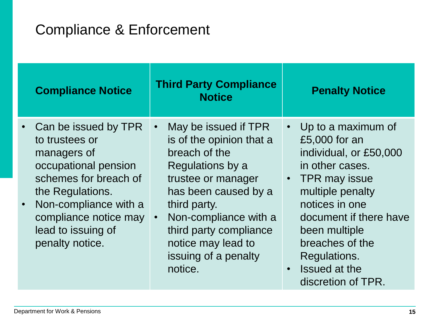## Compliance & Enforcement

| <b>Compliance Notice</b>                                                                                                                                                                                              | <b>Third Party Compliance</b><br><b>Notice</b>                                                                                                                                                                                                                                            | <b>Penalty Notice</b>                                                                                                                                                                                                                                                         |
|-----------------------------------------------------------------------------------------------------------------------------------------------------------------------------------------------------------------------|-------------------------------------------------------------------------------------------------------------------------------------------------------------------------------------------------------------------------------------------------------------------------------------------|-------------------------------------------------------------------------------------------------------------------------------------------------------------------------------------------------------------------------------------------------------------------------------|
| Can be issued by TPR<br>to trustees or<br>managers of<br>occupational pension<br>schemes for breach of<br>the Regulations.<br>Non-compliance with a<br>compliance notice may<br>lead to issuing of<br>penalty notice. | May be issued if TPR<br>$\bullet$<br>is of the opinion that a<br>breach of the<br>Regulations by a<br>trustee or manager<br>has been caused by a<br>third party.<br>Non-compliance with a<br>$\bullet$<br>third party compliance<br>notice may lead to<br>issuing of a penalty<br>notice. | • Up to a maximum of<br>£5,000 for an<br>individual, or £50,000<br>in other cases.<br>• TPR may issue<br>multiple penalty<br>notices in one<br>document if there have<br>been multiple<br>breaches of the<br>Regulations.<br>Issued at the<br>$\bullet$<br>discretion of TPR. |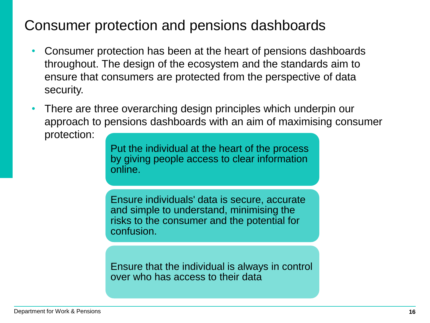## Consumer protection and pensions dashboards

- Consumer protection has been at the heart of pensions dashboards throughout. The design of the ecosystem and the standards aim to ensure that consumers are protected from the perspective of data security.
- There are three overarching design principles which underpin our approach to pensions dashboards with an aim of maximising consumer protection:

Put the individual at the heart of the process by giving people access to clear information online.

Ensure individuals' data is secure, accurate and simple to understand, minimising the risks to the consumer and the potential for confusion.

Ensure that the individual is always in control over who has access to their data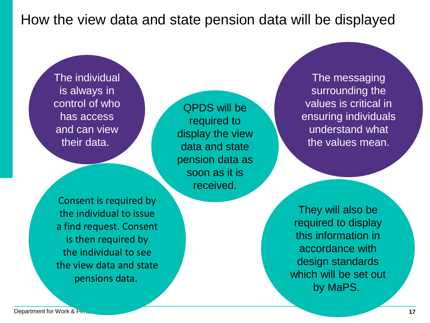#### How the view data and state pension data will be displayed

The individual is always in control of who has access and can view their data.

QPDS will be required to display the view data and state pension data as soon as it is received.

Consent is required by the individual to issue a find request. Consent is then required by the individual to see the view data and state pensions data.

The messaging surrounding the values is critical in ensuring individuals understand what the values mean.

They will also be required to display this information in accordance with design standards which will be set out by MaPS.

**Department for Work & Pensions and Contract Contract Contract Contract Contract Contract Contract Contract Contract Contract Contract Contract Contract Contract Contract Contract Contract Contract Contract Contract Contra**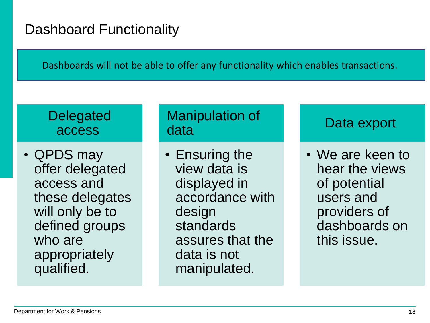## Dashboard Functionality

Dashboards will not be able to offer any functionality which enables transactions.

#### **Delegated** access

• QPDS may offer delegated access and these delegates will only be to defined groups who are appropriately qualified.

#### Manipulation of data

• Ensuring the view data is displayed in accordance with design standards assures that the data is not manipulated.

#### Data export

• We are keen to hear the views of potential users and providers of dashboards on this issue.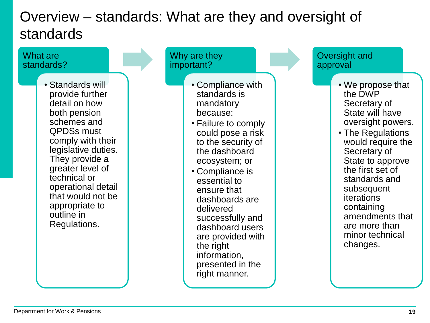## Overview – standards: What are they and oversight of standards

#### What are standards?

• Standards will provide further detail on how both pension schemes and QPDSs must comply with their legislative duties. They provide a greater level of technical or operational detail that would not be appropriate to outline in Regulations.

Why are they important?

- Compliance with standards is mandatory because:
- Failure to comply could pose a risk to the security of the dashboard ecosystem; or
- Compliance is essential to ensure that dashboards are delivered successfully and dashboard users are provided with the right information, presented in the right manner.

Oversight and approval

- We propose that the DWP Secretary of State will have oversight powers.
- The Regulations would require the Secretary of State to approve the first set of standards and subsequent iterations containing amendments that are more than minor technical changes.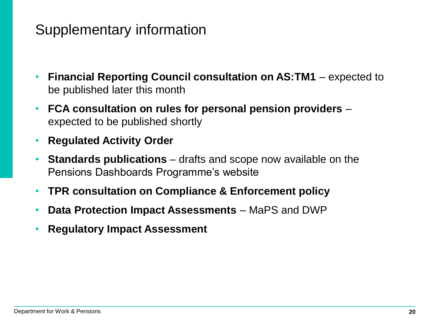### Supplementary information

- **Financial Reporting Council consultation on AS:TM1**  expected to be published later this month
- **FCA consultation on rules for personal pension providers**  expected to be published shortly
- **Regulated Activity Order**
- **Standards publications**  drafts and scope now available on the Pensions Dashboards Programme's website
- **TPR consultation on Compliance & Enforcement policy**
- **Data Protection Impact Assessments**  MaPS and DWP
- **Regulatory Impact Assessment**